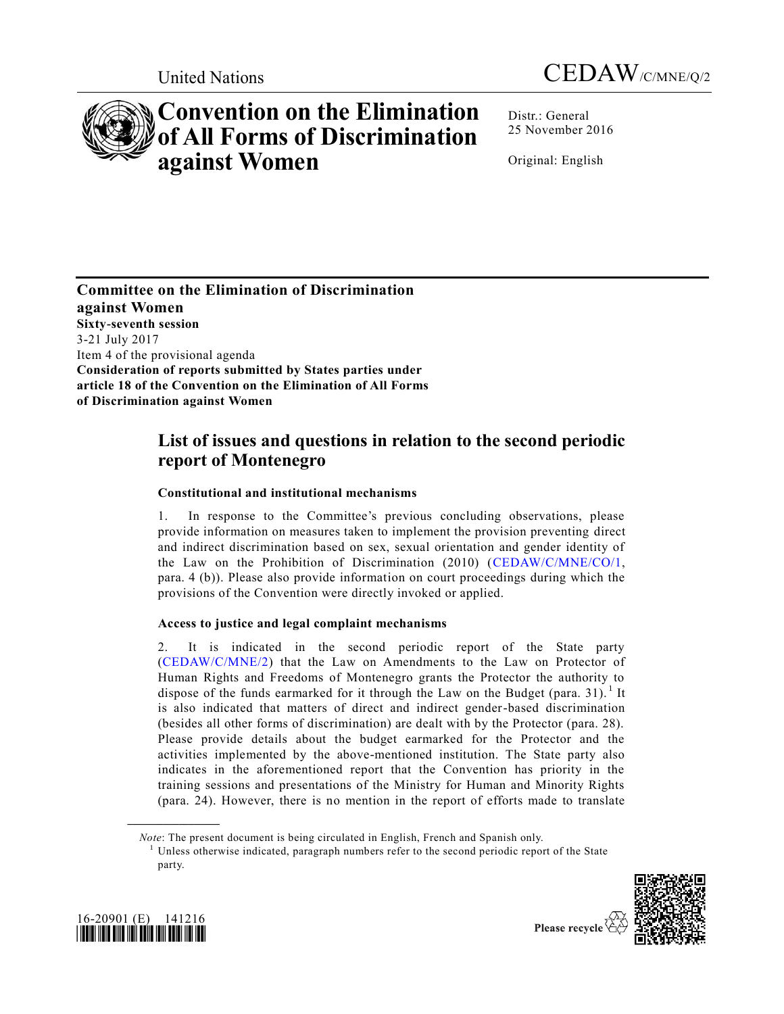

# **Convention on the Elimination of All Forms of Discrimination against Women**

United Nations CEDAW/C/MNE/Q/2

Distr.: General 25 November 2016

Original: English

**Committee on the Elimination of Discrimination against Women Sixty-seventh session** 3-21 July 2017 Item 4 of the provisional agenda **Consideration of reports submitted by States parties under article 18 of the Convention on the Elimination of All Forms of Discrimination against Women**

# **List of issues and questions in relation to the second periodic report of Montenegro**

## **Constitutional and institutional mechanisms**

1. In response to the Committee's previous concluding observations, please provide information on measures taken to implement the provision preventing direct and indirect discrimination based on sex, sexual orientation and gender identity of the Law on the Prohibition of Discrimination (2010) [\(CEDAW/C/MNE/CO/1,](http://undocs.org/CEDAW/C/MNE/CO/1) para. 4 (b)). Please also provide information on court proceedings during which the provisions of the Convention were directly invoked or applied.

### **Access to justice and legal complaint mechanisms**

2. It is indicated in the second periodic report of the State party [\(CEDAW/C/MNE/2\)](http://undocs.org/CEDAW/C/MNE/2) that the Law on Amendments to the Law on Protector of Human Rights and Freedoms of Montenegro grants the Protector the authority to dispose of the funds earmarked for it through the Law on the Budget (para. 31).<sup>1</sup> It is also indicated that matters of direct and indirect gender-based discrimination (besides all other forms of discrimination) are dealt with by the Protector (para. 28). Please provide details about the budget earmarked for the Protector and the activities implemented by the above-mentioned institution. The State party also indicates in the aforementioned report that the Convention has priority in the training sessions and presentations of the Ministry for Human and Minority Rights (para. 24). However, there is no mention in the report of efforts made to translate

<sup>&</sup>lt;sup>1</sup> Unless otherwise indicated, paragraph numbers refer to the second periodic report of the State party.





**\_\_\_\_\_\_\_\_\_\_\_\_\_\_\_\_\_\_**

*Note*: The present document is being circulated in English, French and Spanish only.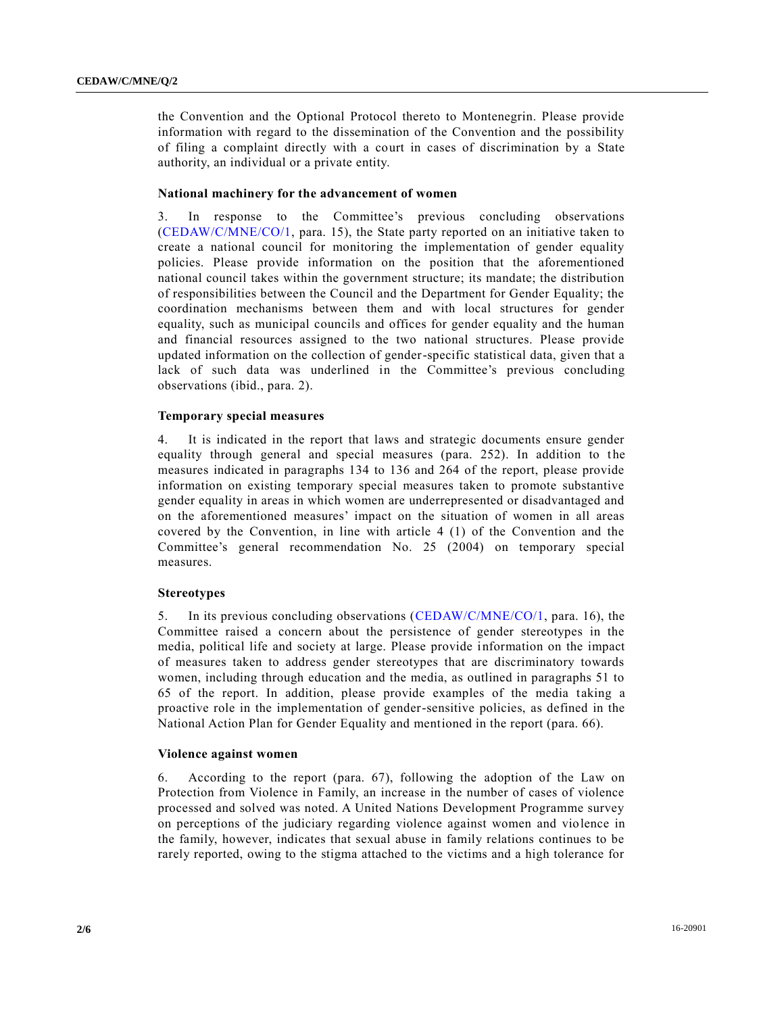the Convention and the Optional Protocol thereto to Montenegrin. Please provide information with regard to the dissemination of the Convention and the possibility of filing a complaint directly with a court in cases of discrimination by a State authority, an individual or a private entity.

#### **National machinery for the advancement of women**

3. In response to the Committee's previous concluding observations [\(CEDAW/C/MNE/CO/1,](http://undocs.org/CEDAW/C/MNE/CO/1) para. 15), the State party reported on an initiative taken to create a national council for monitoring the implementation of gender equality policies. Please provide information on the position that the aforementioned national council takes within the government structure; its mandate; the distribution of responsibilities between the Council and the Department for Gender Equality; the coordination mechanisms between them and with local structures for gender equality, such as municipal councils and offices for gender equality and the human and financial resources assigned to the two national structures. Please provide updated information on the collection of gender-specific statistical data, given that a lack of such data was underlined in the Committee's previous concluding observations (ibid., para. 2).

#### **Temporary special measures**

4. It is indicated in the report that laws and strategic documents ensure gender equality through general and special measures (para. 252). In addition to the measures indicated in paragraphs 134 to 136 and 264 of the report, please provide information on existing temporary special measures taken to promote substantive gender equality in areas in which women are underrepresented or disadvantaged and on the aforementioned measures' impact on the situation of women in all areas covered by the Convention, in line with article 4 (1) of the Convention and the Committee's general recommendation No. 25 (2004) on temporary special measures.

#### **Stereotypes**

5. In its previous concluding observations [\(CEDAW/C/MNE/CO/1,](http://undocs.org/CEDAW/C/MNE/CO/1) para. 16), the Committee raised a concern about the persistence of gender stereotypes in the media, political life and society at large. Please provide information on the impact of measures taken to address gender stereotypes that are discriminatory towards women, including through education and the media, as outlined in paragraphs 51 to 65 of the report. In addition, please provide examples of the media taking a proactive role in the implementation of gender-sensitive policies, as defined in the National Action Plan for Gender Equality and mentioned in the report (para. 66).

#### **Violence against women**

6. According to the report (para. 67), following the adoption of the Law on Protection from Violence in Family, an increase in the number of cases of violence processed and solved was noted. A United Nations Development Programme survey on perceptions of the judiciary regarding violence against women and violence in the family, however, indicates that sexual abuse in family relations continues to be rarely reported, owing to the stigma attached to the victims and a high tolerance for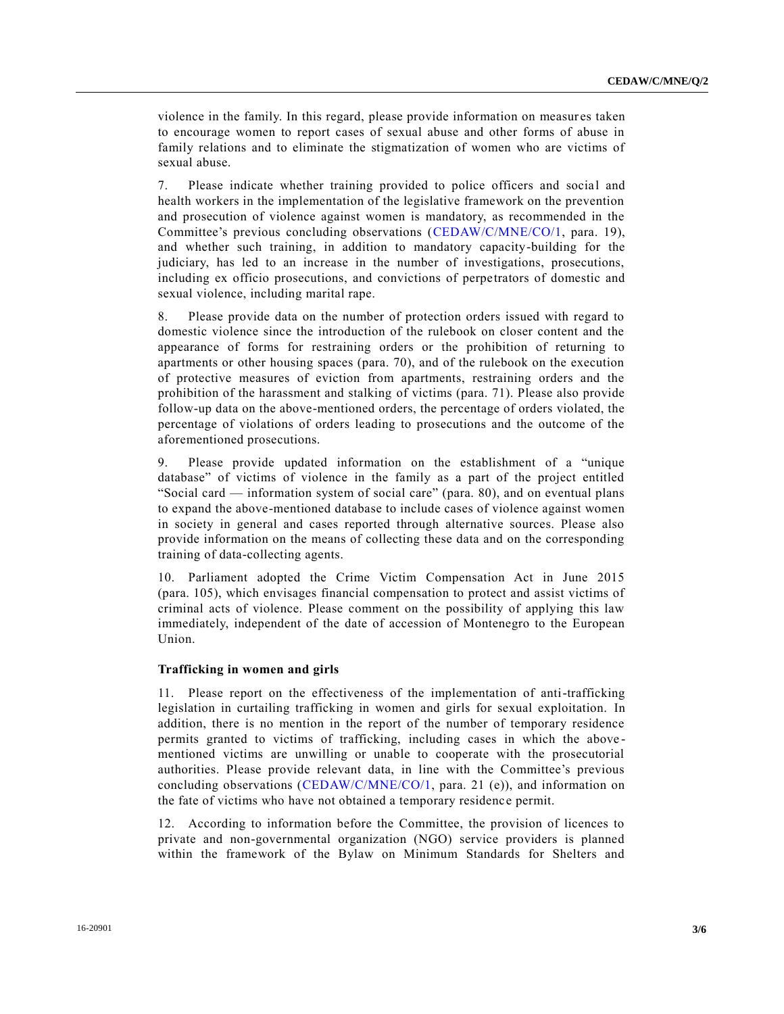violence in the family. In this regard, please provide information on measur es taken to encourage women to report cases of sexual abuse and other forms of abuse in family relations and to eliminate the stigmatization of women who are victims of sexual abuse.

7. Please indicate whether training provided to police officers and social and health workers in the implementation of the legislative framework on the prevention and prosecution of violence against women is mandatory, as recommended in the Committee's previous concluding observations [\(CEDAW/C/MNE/CO/1,](http://undocs.org/CEDAW/C/MNE/CO/1) para. 19), and whether such training, in addition to mandatory capacity-building for the judiciary, has led to an increase in the number of investigations, prosecutions, including ex officio prosecutions, and convictions of perpetrators of domestic and sexual violence, including marital rape.

8. Please provide data on the number of protection orders issued with regard to domestic violence since the introduction of the rulebook on closer content and the appearance of forms for restraining orders or the prohibition of returning to apartments or other housing spaces (para. 70), and of the rulebook on the execution of protective measures of eviction from apartments, restraining orders and the prohibition of the harassment and stalking of victims (para. 71). Please also provide follow-up data on the above-mentioned orders, the percentage of orders violated, the percentage of violations of orders leading to prosecutions and the outcome of the aforementioned prosecutions.

9. Please provide updated information on the establishment of a "unique database" of victims of violence in the family as a part of the project entitled "Social card — information system of social care" (para. 80), and on eventual plans to expand the above-mentioned database to include cases of violence against women in society in general and cases reported through alternative sources. Please also provide information on the means of collecting these data and on the corresponding training of data-collecting agents.

10. Parliament adopted the Crime Victim Compensation Act in June 2015 (para. 105), which envisages financial compensation to protect and assist victims of criminal acts of violence. Please comment on the possibility of applying this law immediately, independent of the date of accession of Montenegro to the European Union.

#### **Trafficking in women and girls**

11. Please report on the effectiveness of the implementation of anti-trafficking legislation in curtailing trafficking in women and girls for sexual exploitation. In addition, there is no mention in the report of the number of temporary residence permits granted to victims of trafficking, including cases in which the above mentioned victims are unwilling or unable to cooperate with the prosecutorial authorities. Please provide relevant data, in line with the Committee's previous concluding observations [\(CEDAW/C/MNE/CO/1,](http://undocs.org/CEDAW/C/MNE/CO/1) para. 21 (e)), and information on the fate of victims who have not obtained a temporary residence permit.

12. According to information before the Committee, the provision of licences to private and non-governmental organization (NGO) service providers is planned within the framework of the Bylaw on Minimum Standards for Shelters and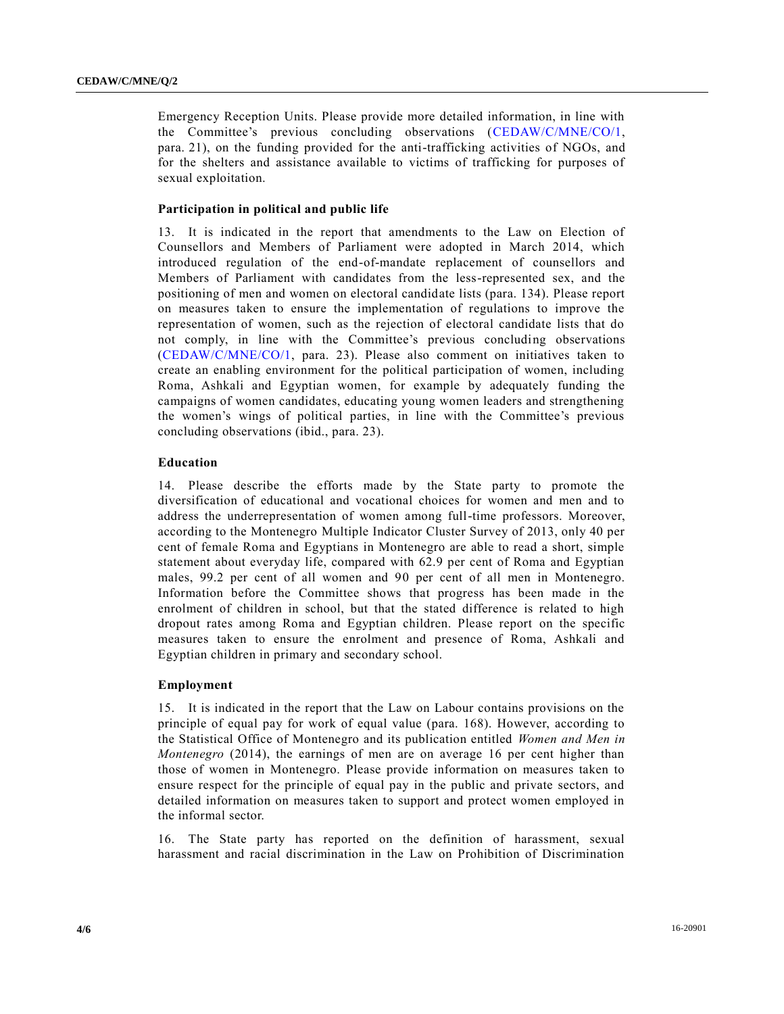Emergency Reception Units. Please provide more detailed information, in line with the Committee's previous concluding observations [\(CEDAW/C/MNE/CO/1,](http://undocs.org/CEDAW/C/MNE/CO/1) para. 21), on the funding provided for the anti-trafficking activities of NGOs, and for the shelters and assistance available to victims of trafficking for purposes of sexual exploitation.

#### **Participation in political and public life**

13. It is indicated in the report that amendments to the Law on Election of Counsellors and Members of Parliament were adopted in March 2014, which introduced regulation of the end-of-mandate replacement of counsellors and Members of Parliament with candidates from the less-represented sex, and the positioning of men and women on electoral candidate lists (para. 134). Please report on measures taken to ensure the implementation of regulations to improve the representation of women, such as the rejection of electoral candidate lists that do not comply, in line with the Committee's previous concluding observations [\(CEDAW/C/MNE/CO/1,](http://undocs.org/CEDAW/C/MNE/CO/1) para. 23). Please also comment on initiatives taken to create an enabling environment for the political participation of women, including Roma, Ashkali and Egyptian women, for example by adequately funding the campaigns of women candidates, educating young women leaders and strengthening the women's wings of political parties, in line with the Committee's previous concluding observations (ibid., para. 23).

#### **Education**

14. Please describe the efforts made by the State party to promote the diversification of educational and vocational choices for women and men and to address the underrepresentation of women among full-time professors. Moreover, according to the Montenegro Multiple Indicator Cluster Survey of 2013, only 40 per cent of female Roma and Egyptians in Montenegro are able to read a short, simple statement about everyday life, compared with 62.9 per cent of Roma and Egyptian males, 99.2 per cent of all women and 90 per cent of all men in Montenegro. Information before the Committee shows that progress has been made in the enrolment of children in school, but that the stated difference is related to high dropout rates among Roma and Egyptian children. Please report on the specific measures taken to ensure the enrolment and presence of Roma, Ashkali and Egyptian children in primary and secondary school.

#### **Employment**

15. It is indicated in the report that the Law on Labour contains provisions on the principle of equal pay for work of equal value (para. 168). However, according to the Statistical Office of Montenegro and its publication entitled *Women and Men in Montenegro* (2014), the earnings of men are on average 16 per cent higher than those of women in Montenegro. Please provide information on measures taken to ensure respect for the principle of equal pay in the public and private sectors, and detailed information on measures taken to support and protect women employed in the informal sector.

16. The State party has reported on the definition of harassment, sexual harassment and racial discrimination in the Law on Prohibition of Discrimination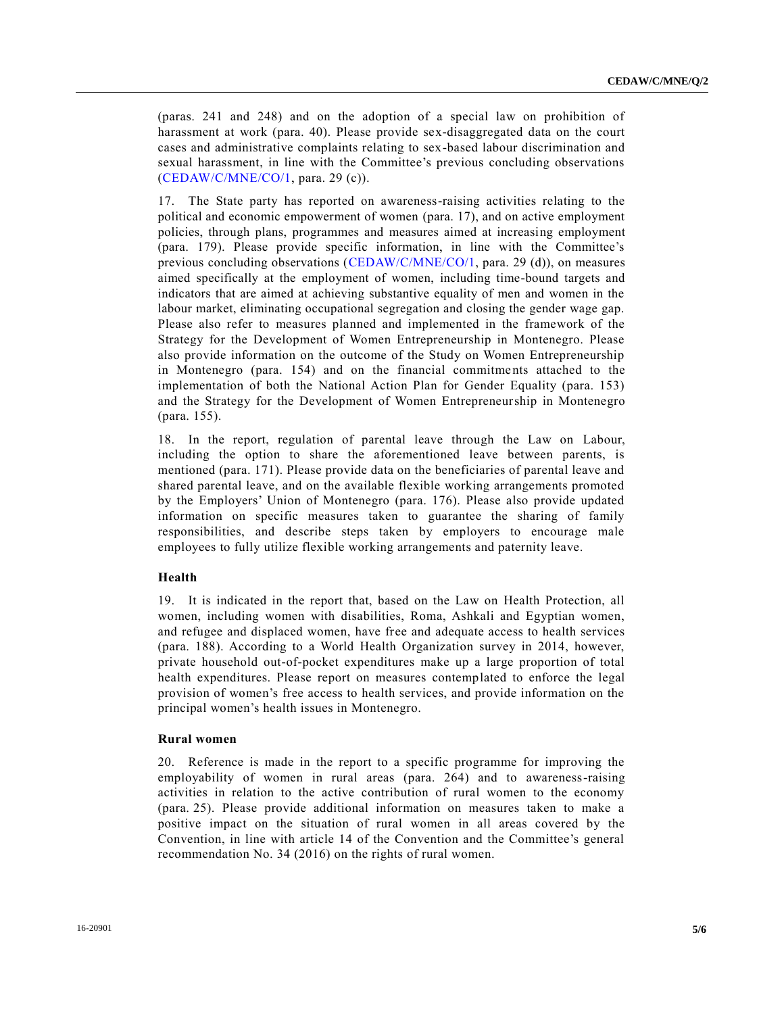(paras. 241 and 248) and on the adoption of a special law on prohibition of harassment at work (para. 40). Please provide sex-disaggregated data on the court cases and administrative complaints relating to sex-based labour discrimination and sexual harassment, in line with the Committee's previous concluding observations [\(CEDAW/C/MNE/CO/1,](http://undocs.org/CEDAW/C/MNE/CO/1) para. 29 (c)).

17. The State party has reported on awareness-raising activities relating to the political and economic empowerment of women (para. 17), and on active employment policies, through plans, programmes and measures aimed at increasing employment (para. 179). Please provide specific information, in line with the Committee's previous concluding observations [\(CEDAW/C/MNE/CO/1,](http://undocs.org/CEDAW/C/MNE/CO/1) para. 29 (d)), on measures aimed specifically at the employment of women, including time-bound targets and indicators that are aimed at achieving substantive equality of men and women in the labour market, eliminating occupational segregation and closing the gender wage gap. Please also refer to measures planned and implemented in the framework of the Strategy for the Development of Women Entrepreneurship in Montenegro. Please also provide information on the outcome of the Study on Women Entrepreneurship in Montenegro (para. 154) and on the financial commitments attached to the implementation of both the National Action Plan for Gender Equality (para. 153) and the Strategy for the Development of Women Entrepreneurship in Montenegro (para. 155).

18. In the report, regulation of parental leave through the Law on Labour, including the option to share the aforementioned leave between parents, is mentioned (para. 171). Please provide data on the beneficiaries of parental leave and shared parental leave, and on the available flexible working arrangements promoted by the Employers' Union of Montenegro (para. 176). Please also provide updated information on specific measures taken to guarantee the sharing of family responsibilities, and describe steps taken by employers to encourage male employees to fully utilize flexible working arrangements and paternity leave.

#### **Health**

19. It is indicated in the report that, based on the Law on Health Protection, all women, including women with disabilities, Roma, Ashkali and Egyptian women, and refugee and displaced women, have free and adequate access to health services (para. 188). According to a World Health Organization survey in 2014, however, private household out-of-pocket expenditures make up a large proportion of total health expenditures. Please report on measures contemplated to enforce the legal provision of women's free access to health services, and provide information on the principal women's health issues in Montenegro.

#### **Rural women**

20. Reference is made in the report to a specific programme for improving the employability of women in rural areas (para. 264) and to awareness-raising activities in relation to the active contribution of rural women to the economy (para. 25). Please provide additional information on measures taken to make a positive impact on the situation of rural women in all areas covered by the Convention, in line with article 14 of the Convention and the Committee's general recommendation No. 34 (2016) on the rights of rural women.